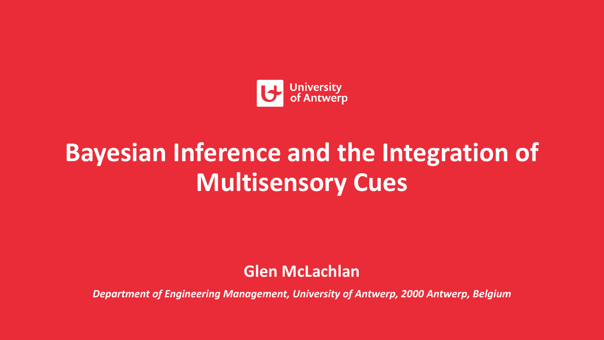

# **Bayesian Inference and the Integration of Multisensory Cues**

**Glen McLachlan**

*Department of Engineering Management, University of Antwerp, 2000 Antwerp, Belgium*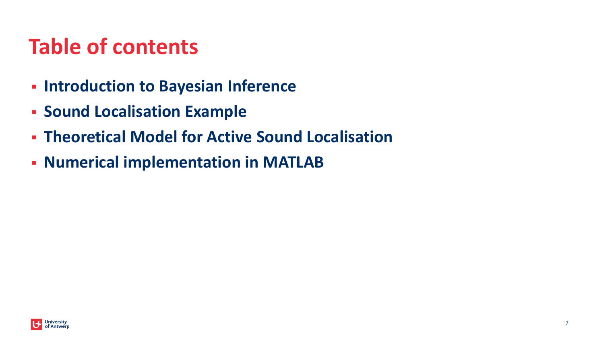### **Table of contents**

- **Introduction to Bayesian Inference**
- Movement inu <mark>Lu</mark>tansi ▪ **Sound Localisation Example**
- **Theoretical Model for Active Sound Localisation**
- **Numerical implementation in MATLAB**

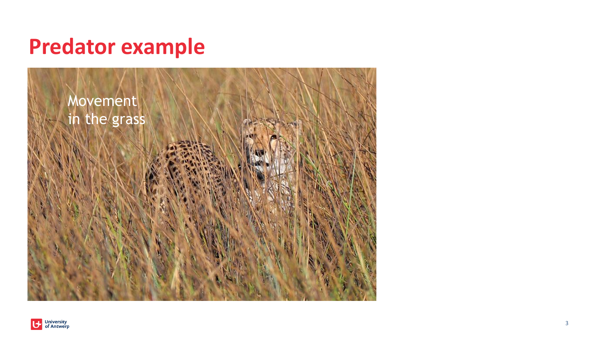

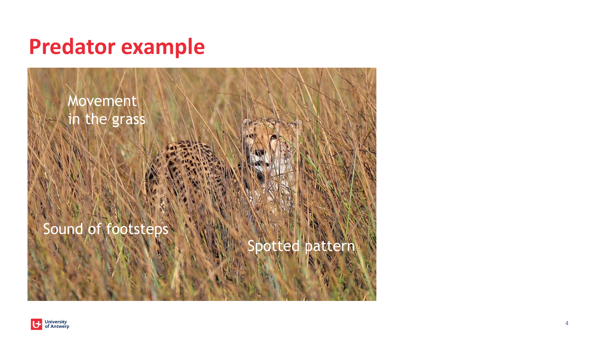

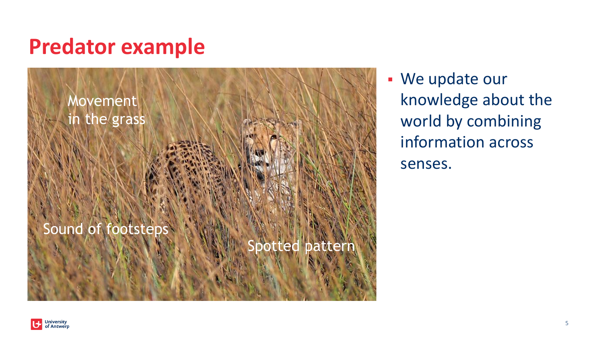

▪ We update our knowledge about the world by combining information across senses.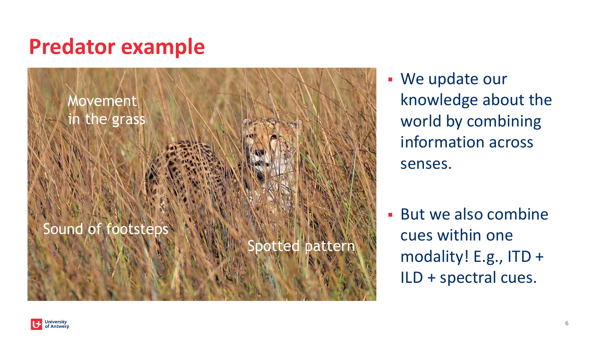

▪ We update our knowledge about the world by combining information across senses.

▪ But we also combine cues within one modality! E.g., ITD + ILD + spectral cues.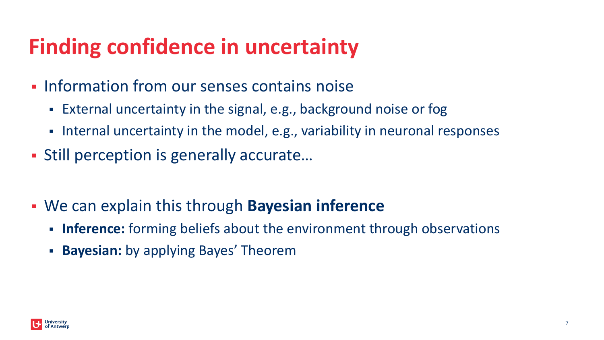## **Finding confidence in uncertainty**

- **.** Information from our senses contains noise
	- External uncertainty in the signal, e.g., background noise or fog
	- Internal uncertainty in the model, e.g., variability in neuronal responses
- Still perception is generally accurate...
- We can explain this through **Bayesian inference**
	- **Inference:** forming beliefs about the environment through observations
	- **Bayesian:** by applying Bayes' Theorem

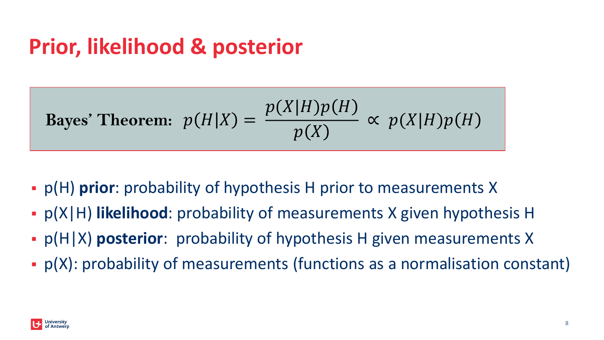### **Prior, likelihood & posterior**

Bayes' Theorem: 
$$
p(H|X) = \frac{p(X|H)p(H)}{p(X)} \propto p(X|H)p(H)
$$

- p(H) **prior**: probability of hypothesis H prior to measurements X
- p(X|H) **likelihood**: probability of measurements X given hypothesis H
- p(H|X) **posterior**: probability of hypothesis H given measurements X
- **p(X): probability of measurements (functions as a normalisation constant)**

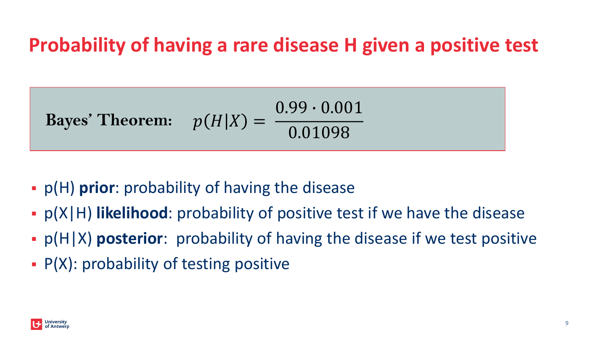#### **Probability of having a rare disease H given a positive test**

Bayes' Theorem: 
$$
p(H|X) = \frac{0.99 \cdot 0.001}{0.01098}
$$

- p(H) **prior**: probability of having the disease
- p(X|H) **likelihood**: probability of positive test if we have the disease
- p(H|X) **posterior**: probability of having the disease if we test positive
- $\blacksquare$  P(X): probability of testing positive

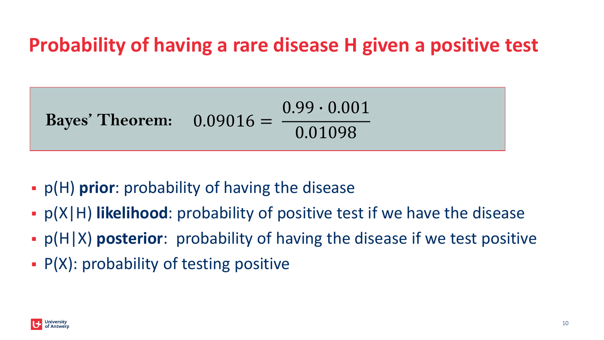#### **Probability of having a rare disease H given a positive test**



- **p(H) prior**: probability of having the disease
- p(X|H) **likelihood**: probability of positive test if we have the disease
- p(H|X) **posterior**: probability of having the disease if we test positive
- $\blacksquare$  P(X): probability of testing positive

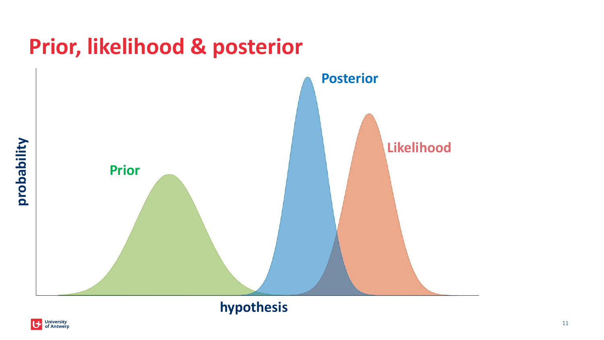

#### **hypothesis**

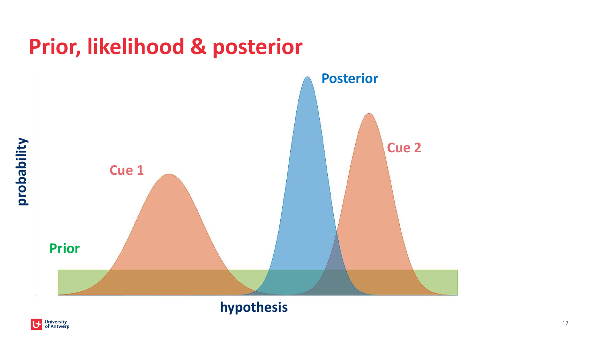### **Prior, likelihood & posterior**



#### **hypothesis**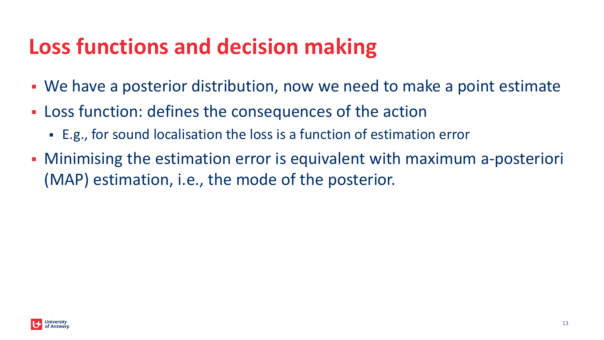### **Loss functions and decision making**

- We have a posterior distribution, now we need to make a point estimate
- **EXELOSS** function: defines the consequences of the action
	- E.g., for sound localisation the loss is a function of estimation error
- **Minimising the estimation error is equivalent with maximum a-posteriori** (MAP) estimation, i.e., the mode of the posterior.

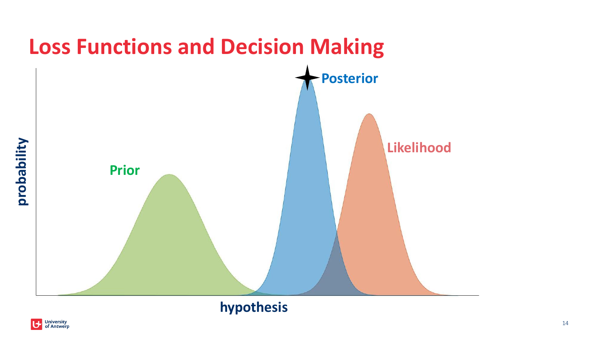

#### **hypothesis**

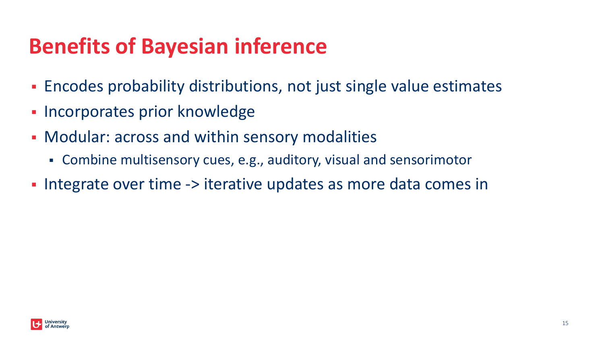## **Benefits of Bayesian inference**

- **Encodes probability distributions, not just single value estimates**
- Incorporates prior knowledge
- Modular: across and within sensory modalities
	- Combine multisensory cues, e.g., auditory, visual and sensorimotor
- **.** Integrate over time -> iterative updates as more data comes in

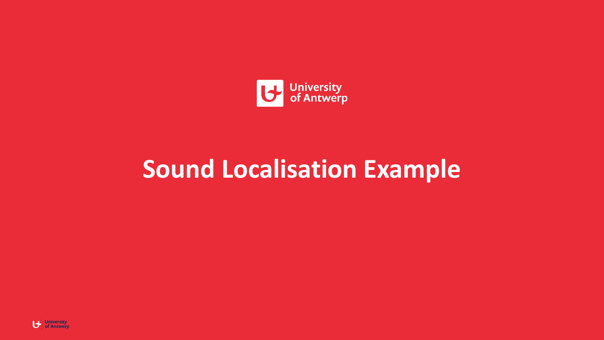

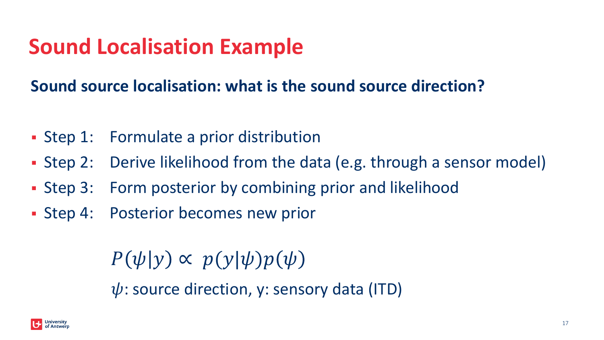#### **Sound source localisation: what is the sound source direction?**

- Step 1: Formulate a prior distribution
- **Example 2:** Derive likelihood from the data (e.g. through a sensor model)
- Step 3: Form posterior by combining prior and likelihood
- **Example 2: Step 4: Posterior becomes new prior**

 $\psi$ : source direction, y: sensory data (ITD)  $P(\psi|y) \propto p(y|\psi)p(\psi)$ 

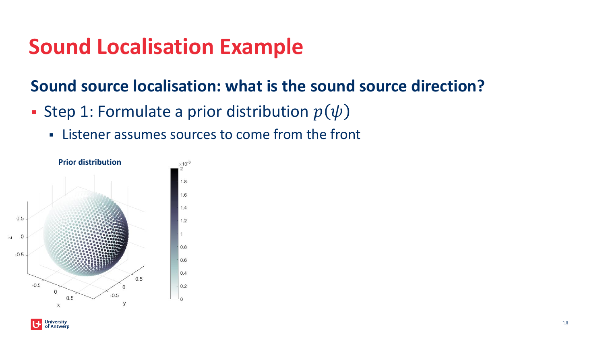- **Step 1: Formulate a prior distribution**  $p(\psi)$ 
	- Listener assumes sources to come from the front



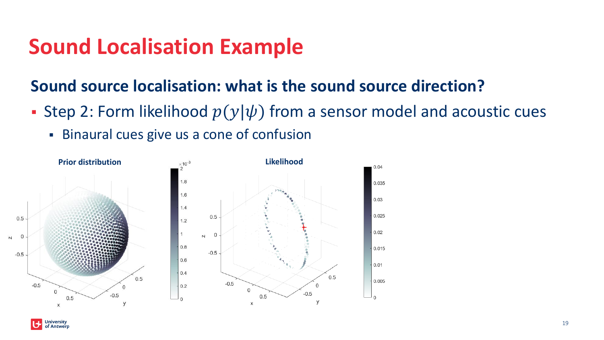- **Step 2: Form likelihood**  $p(y|\psi)$  from a sensor model and acoustic cues
	- **EXECT:** Binaural cues give us a cone of confusion



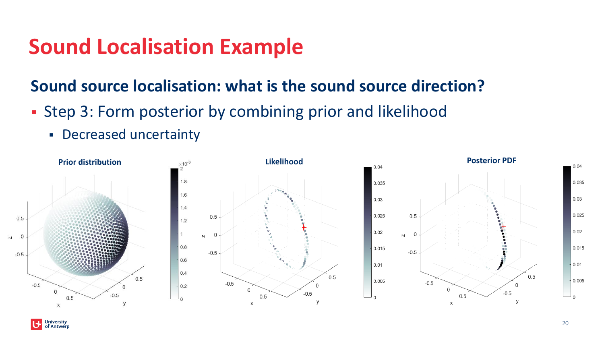- **Example 13: Form posterior by combining prior and likelihood** 
	- **Decreased uncertainty**

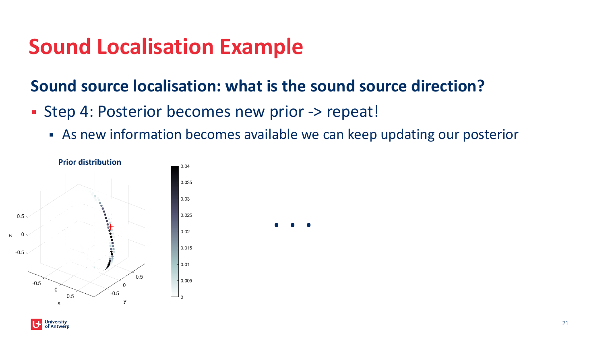- Step 4: Posterior becomes new prior -> repeat!
	- **EX As new information becomes available we can keep updating our posterior**



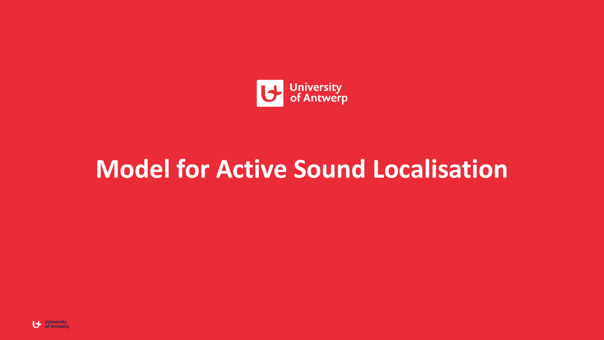

# **Model for Active Sound Localisation**

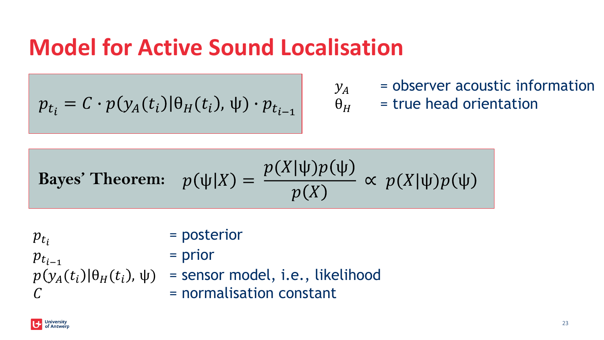## **Model for Active Sound Localisation**

$$
p_{t_i} = C \cdot p(y_A(t_i) | \theta_H(t_i), \psi) \cdot p_{t_{i-1}}
$$

- $y_A$  = observer acoustic information<br> $\theta_H$  = true head orientation
	- = true head orientation

Bayes' Theorem: 
$$
p(\psi|X) = \frac{p(X|\psi)p(\psi)}{p(X)} \propto p(X|\psi)p(\psi)
$$

 $p_{t_i}$ = posterior  $p_{t_{i-1}}$ = prior  $p(y_A(t_i)|\theta_H(t_i), \psi)$  = sensor model, i.e., likelihood  $C = normalisation constant$ 

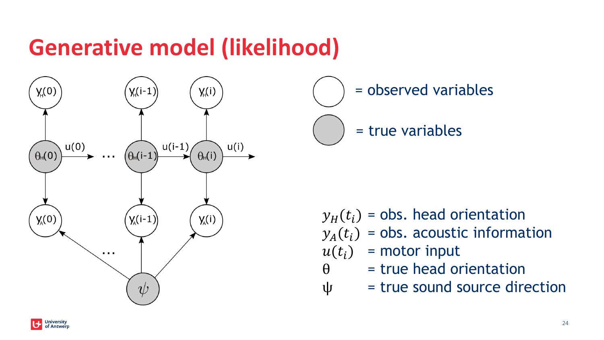# **Generative model (likelihood)**



= observed variables

= true variables

 $y_H(t_i)$  = obs. head orientation  $y_A(t_i)$  = obs. acoustic information

- $u(t_i)$  = motor input
- $\theta$  = true head orientation
- $\Psi$  = true sound source direction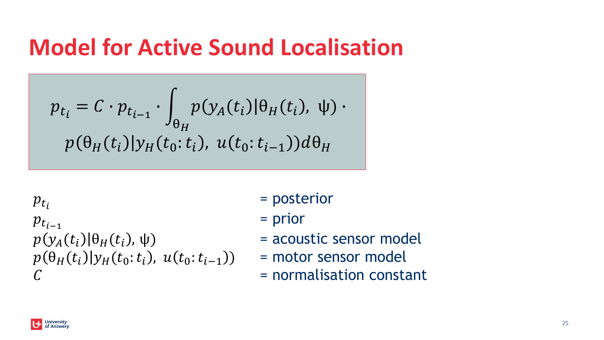### **Model for Active Sound Localisation**

$$
p_{t_i} = C \cdot p_{t_{i-1}} \cdot \int_{\theta_H} p(y_A(t_i) | \theta_H(t_i), \psi) \cdot
$$

$$
p(\theta_H(t_i) | y_H(t_0; t_i), u(t_0; t_{i-1})) d\theta_H
$$

 $p_{t_i}$  $p_{t_{i-1}}$  $p(y_A(t_i)|\theta_H(t_i), \psi)$  $p(\theta_H(t_i)|y_H(t_0:t_i), u(t_0:t_{i-1}))$  $C = normalisation constant$ 

- = posterior
- = prior
- = acoustic sensor model
- = motor sensor model
-